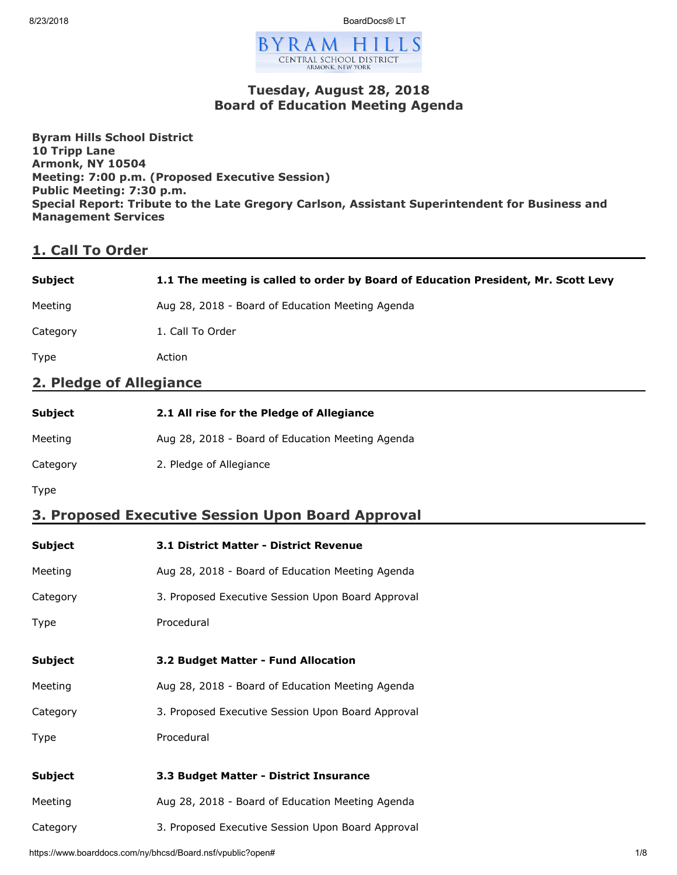8/23/2018 BoardDocs® LT



### **Tuesday, August 28, 2018 Board of Education Meeting Agenda**

**Byram Hills School District 10 Tripp Lane Armonk, NY 10504 Meeting: 7:00 p.m. (Proposed Executive Session) Public Meeting: 7:30 p.m. Special Report: Tribute to the Late Gregory Carlson, Assistant Superintendent for Business and Management Services**

# **1. Call To Order**

| <b>Subject</b> | 1.1 The meeting is called to order by Board of Education President, Mr. Scott Levy |
|----------------|------------------------------------------------------------------------------------|
| Meeting        | Aug 28, 2018 - Board of Education Meeting Agenda                                   |
| Category       | 1. Call To Order                                                                   |

Type Action

### **2. Pledge of Allegiance**

| Subject  | 2.1 All rise for the Pledge of Allegiance        |
|----------|--------------------------------------------------|
| Meeting  | Aug 28, 2018 - Board of Education Meeting Agenda |
| Category | 2. Pledge of Allegiance                          |

Type

# **3. Proposed Executive Session Upon Board Approval**

| <b>Subject</b> | <b>3.1 District Matter - District Revenue</b>     |
|----------------|---------------------------------------------------|
| Meeting        | Aug 28, 2018 - Board of Education Meeting Agenda  |
| Category       | 3. Proposed Executive Session Upon Board Approval |
| Type           | Procedural                                        |
|                |                                                   |
| <b>Subject</b> | 3.2 Budget Matter - Fund Allocation               |
| Meeting        | Aug 28, 2018 - Board of Education Meeting Agenda  |
| Category       | 3. Proposed Executive Session Upon Board Approval |
| Type           | Procedural                                        |
|                |                                                   |
| <b>Subject</b> | 3.3 Budget Matter - District Insurance            |
| Meeting        | Aug 28, 2018 - Board of Education Meeting Agenda  |
| Category       | 3. Proposed Executive Session Upon Board Approval |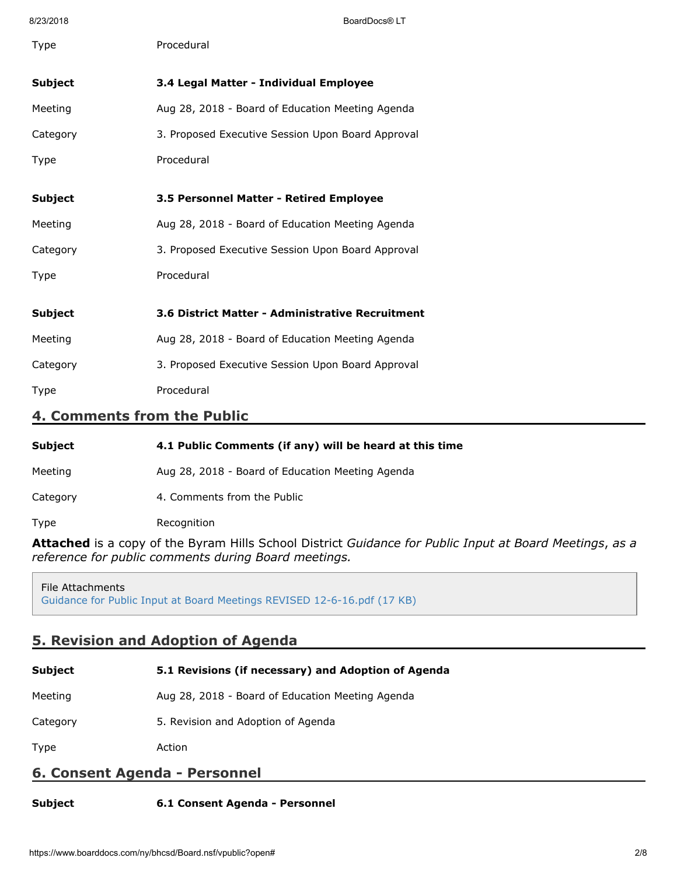8/23/2018 BoardDocs® LT Type Procedural **Subject 3.4 Legal Matter - Individual Employee** Meeting Meeting Aug 28, 2018 - Board of Education Meeting Agenda Category 3. Proposed Executive Session Upon Board Approval Type Procedural **Subject 3.5 Personnel Matter - Retired Employee** Meeting Meeting Aug 28, 2018 - Board of Education Meeting Agenda Category 3. Proposed Executive Session Upon Board Approval Type Procedural **Subject 3.6 District Matter - Administrative Recruitment** Meeting Meeting Aug 28, 2018 - Board of Education Meeting Agenda Category 3. Proposed Executive Session Upon Board Approval Type Procedural

### **4. Comments from the Public**

| <b>Subject</b> | 4.1 Public Comments (if any) will be heard at this time |
|----------------|---------------------------------------------------------|
| Meeting        | Aug 28, 2018 - Board of Education Meeting Agenda        |
| Category       | 4. Comments from the Public                             |
| Type           | Recognition                                             |

**Attached** is a copy of the Byram Hills School District *Guidance for Public Input at Board Meetings*, *as a reference for public comments during Board meetings.*

File Attachments [Guidance for Public Input at Board Meetings REVISED 12-6-16.pdf \(17 KB\)](https://www.boarddocs.com/ny/bhcsd/Board.nsf/files/B2RRYS6F688A/$file/Guidance%20for%20Public%20Input%20at%20Board%20Meetings%20REVISED%2012-6-16.pdf)

# **5. Revision and Adoption of Agenda**

| <b>Subject</b>                | 5.1 Revisions (if necessary) and Adoption of Agenda |  |
|-------------------------------|-----------------------------------------------------|--|
| Meeting                       | Aug 28, 2018 - Board of Education Meeting Agenda    |  |
| Category                      | 5. Revision and Adoption of Agenda                  |  |
| <b>Type</b>                   | Action                                              |  |
| 6. Consent Agenda - Personnel |                                                     |  |
|                               |                                                     |  |

**Subject 6.1 Consent Agenda - Personnel**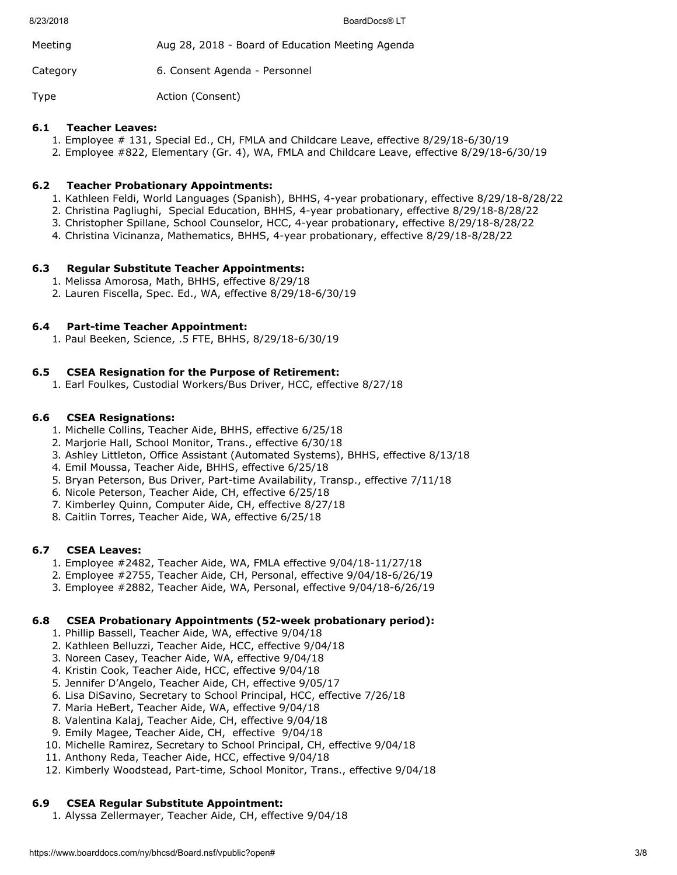8/23/2018 BoardDocs® LT

| Meeting  | Aug 28, 2018 - Board of Education Meeting Agenda |
|----------|--------------------------------------------------|
| Category | 6. Consent Agenda - Personnel                    |

Type **Action** (Consent)

### **6.1 Teacher Leaves:**

- 1. Employee # 131, Special Ed., CH, FMLA and Childcare Leave, effective 8/29/18-6/30/19
- 2. Employee #822, Elementary (Gr. 4), WA, FMLA and Childcare Leave, effective 8/29/18-6/30/19

# **6.2 Teacher Probationary Appointments:**

- 1. Kathleen Feldi, World Languages (Spanish), BHHS, 4-year probationary, effective 8/29/18-8/28/22
- 2. Christina Pagliughi, Special Education, BHHS, 4-year probationary, effective 8/29/18-8/28/22
- 3. Christopher Spillane, School Counselor, HCC, 4-year probationary, effective 8/29/18-8/28/22
- 4. Christina Vicinanza, Mathematics, BHHS, 4-year probationary, effective 8/29/18-8/28/22

# **6.3 Regular Substitute Teacher Appointments:**

- 1. Melissa Amorosa, Math, BHHS, effective 8/29/18
- 2. Lauren Fiscella, Spec. Ed., WA, effective 8/29/18-6/30/19

# **6.4 Part-time Teacher Appointment:**

1. Paul Beeken, Science, .5 FTE, BHHS, 8/29/18-6/30/19

# **6.5 CSEA Resignation for the Purpose of Retirement:**

1. Earl Foulkes, Custodial Workers/Bus Driver, HCC, effective 8/27/18

### **6.6 CSEA Resignations:**

- 1. Michelle Collins, Teacher Aide, BHHS, effective 6/25/18
- 2. Marjorie Hall, School Monitor, Trans., effective 6/30/18
- 3. Ashley Littleton, Office Assistant (Automated Systems), BHHS, effective 8/13/18
- 4. Emil Moussa, Teacher Aide, BHHS, effective 6/25/18
- 5. Bryan Peterson, Bus Driver, Part-time Availability, Transp., effective 7/11/18
- 6. Nicole Peterson, Teacher Aide, CH, effective 6/25/18
- 7. Kimberley Quinn, Computer Aide, CH, effective 8/27/18
- 8. Caitlin Torres, Teacher Aide, WA, effective 6/25/18

### **6.7 CSEA Leaves:**

- 1. Employee #2482, Teacher Aide, WA, FMLA effective 9/04/18-11/27/18
- 2. Employee #2755, Teacher Aide, CH, Personal, effective 9/04/18-6/26/19
- 3. Employee #2882, Teacher Aide, WA, Personal, effective 9/04/18-6/26/19

### **6.8 CSEA Probationary Appointments (52-week probationary period):**

- 1. Phillip Bassell, Teacher Aide, WA, effective 9/04/18
- 2. Kathleen Belluzzi, Teacher Aide, HCC, effective 9/04/18
- 3. Noreen Casey, Teacher Aide, WA, effective 9/04/18
- 4. Kristin Cook, Teacher Aide, HCC, effective 9/04/18
- 5. Jennifer D'Angelo, Teacher Aide, CH, effective 9/05/17
- 6. Lisa DiSavino, Secretary to School Principal, HCC, effective 7/26/18
- 7. Maria HeBert, Teacher Aide, WA, effective 9/04/18
- 8. Valentina Kalaj, Teacher Aide, CH, effective 9/04/18
- 9. Emily Magee, Teacher Aide, CH, effective 9/04/18
- 10. Michelle Ramirez, Secretary to School Principal, CH, effective 9/04/18
- 11. Anthony Reda, Teacher Aide, HCC, effective 9/04/18
- 12. Kimberly Woodstead, Part-time, School Monitor, Trans., effective 9/04/18

# **6.9 CSEA Regular Substitute Appointment:**

1. Alyssa Zellermayer, Teacher Aide, CH, effective 9/04/18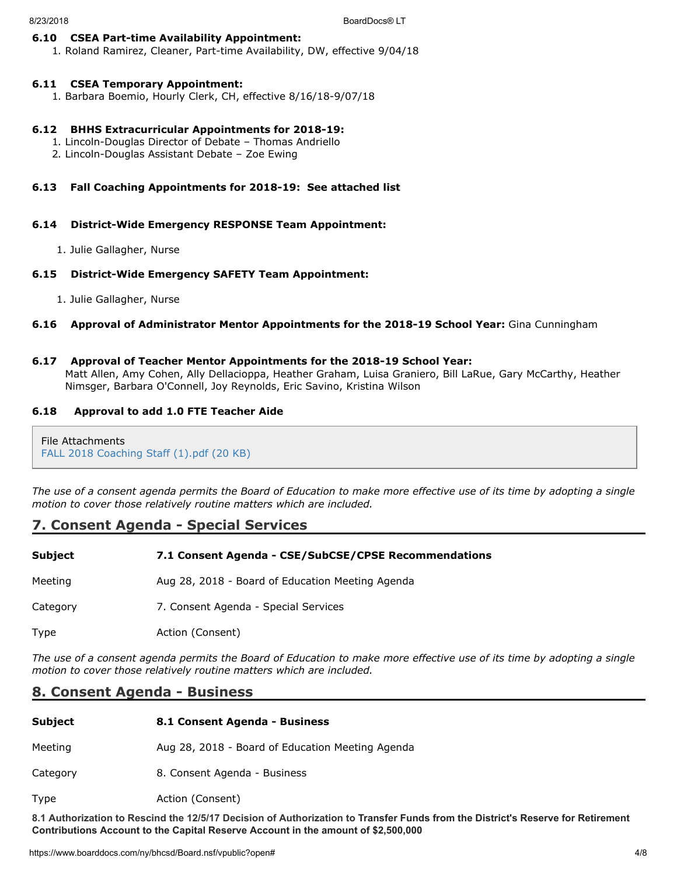#### **6.10 CSEA Part-time Availability Appointment:**

1. Roland Ramirez, Cleaner, Part-time Availability, DW, effective 9/04/18

#### **6.11 CSEA Temporary Appointment:**

1. Barbara Boemio, Hourly Clerk, CH, effective 8/16/18-9/07/18

#### **6.12 BHHS Extracurricular Appointments for 2018-19:**

- 1. Lincoln-Douglas Director of Debate Thomas Andriello
- 2. Lincoln-Douglas Assistant Debate Zoe Ewing

#### **6.13 Fall Coaching Appointments for 2018-19: See attached list**

#### **6.14 District-Wide Emergency RESPONSE Team Appointment:**

1. Julie Gallagher, Nurse

#### **6.15 District-Wide Emergency SAFETY Team Appointment:**

1. Julie Gallagher, Nurse

#### **6.16 Approval of Administrator Mentor Appointments for the 2018-19 School Year:** Gina Cunningham

#### **6.17 Approval of Teacher Mentor Appointments for the 2018-19 School Year:**

Matt Allen, Amy Cohen, Ally Dellacioppa, Heather Graham, Luisa Graniero, Bill LaRue, Gary McCarthy, Heather Nimsger, Barbara O'Connell, Joy Reynolds, Eric Savino, Kristina Wilson

#### **6.18 Approval to add 1.0 FTE Teacher Aide**

File Attachments [FALL 2018 Coaching Staff \(1\).pdf \(20 KB\)](https://www.boarddocs.com/ny/bhcsd/Board.nsf/files/B3WQVJ6B1273/$file/FALL%202018%20Coaching%20Staff%20(1).pdf)

*The use of a consent agenda permits the Board of Education to make more effective use of its time by adopting a single motion to cover those relatively routine matters which are included.*

### **7. Consent Agenda - Special Services**

| <b>Subject</b> | 7.1 Consent Agenda - CSE/SubCSE/CPSE Recommendations |
|----------------|------------------------------------------------------|
| Meeting        | Aug 28, 2018 - Board of Education Meeting Agenda     |
| Category       | 7. Consent Agenda - Special Services                 |
| Type           | Action (Consent)                                     |

*The use of a consent agenda permits the Board of Education to make more effective use of its time by adopting a single motion to cover those relatively routine matters which are included.*

### **8. Consent Agenda - Business**

| <b>Subject</b> | 8.1 Consent Agenda - Business                    |
|----------------|--------------------------------------------------|
| Meeting        | Aug 28, 2018 - Board of Education Meeting Agenda |
| Category       | 8. Consent Agenda - Business                     |
|                |                                                  |

Type **Action** (Consent)

**8.1 Authorization to Rescind the 12/5/17 Decision of Authorization to Transfer Funds from the District's Reserve for Retirement Contributions Account to the Capital Reserve Account in the amount of \$2,500,000**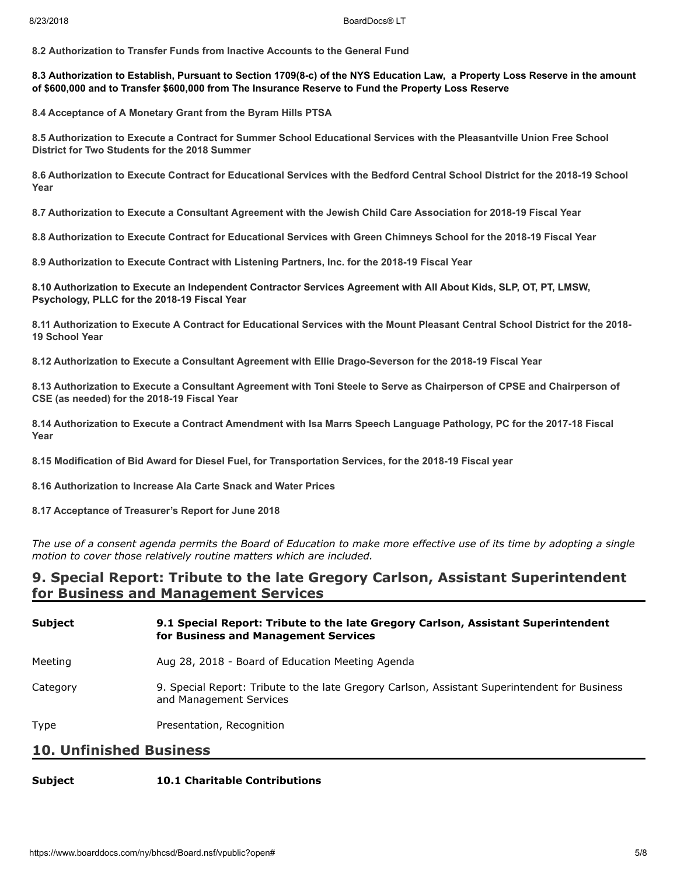**8.2 Authorization to Transfer Funds from Inactive Accounts to the General Fund**

#### **8.3 Authorization to Establish, Pursuant to Section 1709(8-c) of the NYS Education Law, a Property Loss Reserve in the amount of \$600,000 and to Transfer \$600,000 from The Insurance Reserve to Fund the Property Loss Reserve**

**8.4 Acceptance of A Monetary Grant from the Byram Hills PTSA**

**8.5 Authorization to Execute a Contract for Summer School Educational Services with the Pleasantville Union Free School District for Two Students for the 2018 Summer**

**8.6 Authorization to Execute Contract for Educational Services with the Bedford Central School District for the 2018-19 School Year**

**8.7 Authorization to Execute a Consultant Agreement with the Jewish Child Care Association for 2018-19 Fiscal Year**

**8.8 Authorization to Execute Contract for Educational Services with Green Chimneys School for the 2018-19 Fiscal Year**

**8.9 Authorization to Execute Contract with Listening Partners, Inc. for the 2018-19 Fiscal Year**

**8.10 Authorization to Execute an Independent Contractor Services Agreement with All About Kids, SLP, OT, PT, LMSW, Psychology, PLLC for the 2018-19 Fiscal Year**

**8.11 Authorization to Execute A Contract for Educational Services with the Mount Pleasant Central School District for the 2018- 19 School Year**

**8.12 Authorization to Execute a Consultant Agreement with Ellie Drago-Severson for the 2018-19 Fiscal Year**

**8.13 Authorization to Execute a Consultant Agreement with Toni Steele to Serve as Chairperson of CPSE and Chairperson of CSE (as needed) for the 2018-19 Fiscal Year**

**8.14 Authorization to Execute a Contract Amendment with Isa Marrs Speech Language Pathology, PC for the 2017-18 Fiscal Year**

**8.15 Modification of Bid Award for Diesel Fuel, for Transportation Services, for the 2018-19 Fiscal year**

**8.16 Authorization to Increase Ala Carte Snack and Water Prices**

**8.17 Acceptance of Treasurer's Report for June 2018**

*The use of a consent agenda permits the Board of Education to make more effective use of its time by adopting a single motion to cover those relatively routine matters which are included.*

### **9. Special Report: Tribute to the late Gregory Carlson, Assistant Superintendent for Business and Management Services**

| <b>Subject</b> | 9.1 Special Report: Tribute to the late Gregory Carlson, Assistant Superintendent<br>for Business and Management Services |
|----------------|---------------------------------------------------------------------------------------------------------------------------|
| Meeting        | Aug 28, 2018 - Board of Education Meeting Agenda                                                                          |
| Category       | 9. Special Report: Tribute to the late Gregory Carlson, Assistant Superintendent for Business<br>and Management Services  |
| Type           | Presentation, Recognition                                                                                                 |

#### **10. Unfinished Business**

#### **Subject 10.1 Charitable Contributions**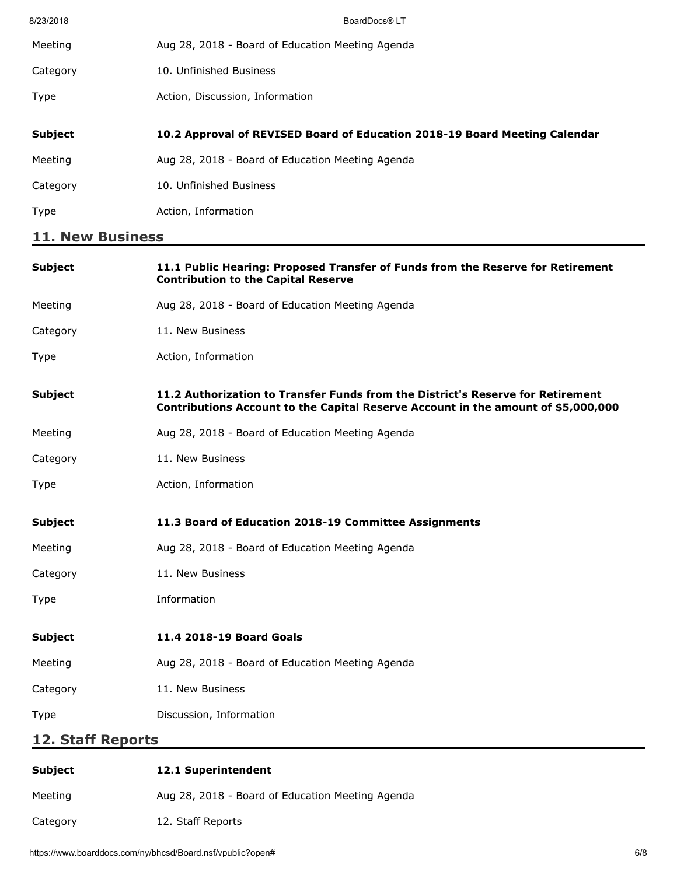| 8/23/2018               | BoardDocs® LT                                                              |  |
|-------------------------|----------------------------------------------------------------------------|--|
| Meeting                 | Aug 28, 2018 - Board of Education Meeting Agenda                           |  |
| Category                | 10. Unfinished Business                                                    |  |
| Type                    | Action, Discussion, Information                                            |  |
|                         |                                                                            |  |
| <b>Subject</b>          | 10.2 Approval of REVISED Board of Education 2018-19 Board Meeting Calendar |  |
| Meeting                 | Aug 28, 2018 - Board of Education Meeting Agenda                           |  |
| Category                | 10. Unfinished Business                                                    |  |
| <b>Type</b>             | Action, Information                                                        |  |
| <b>11. New Business</b> |                                                                            |  |

| <b>Subject</b>           | 11.1 Public Hearing: Proposed Transfer of Funds from the Reserve for Retirement<br><b>Contribution to the Capital Reserve</b>                                        |
|--------------------------|----------------------------------------------------------------------------------------------------------------------------------------------------------------------|
| Meeting                  | Aug 28, 2018 - Board of Education Meeting Agenda                                                                                                                     |
| Category                 | 11. New Business                                                                                                                                                     |
| Type                     | Action, Information                                                                                                                                                  |
| <b>Subject</b>           | 11.2 Authorization to Transfer Funds from the District's Reserve for Retirement<br>Contributions Account to the Capital Reserve Account in the amount of \$5,000,000 |
| Meeting                  | Aug 28, 2018 - Board of Education Meeting Agenda                                                                                                                     |
| Category                 | 11. New Business                                                                                                                                                     |
| <b>Type</b>              | Action, Information                                                                                                                                                  |
| <b>Subject</b>           | 11.3 Board of Education 2018-19 Committee Assignments                                                                                                                |
| Meeting                  | Aug 28, 2018 - Board of Education Meeting Agenda                                                                                                                     |
| Category                 | 11. New Business                                                                                                                                                     |
| <b>Type</b>              | Information                                                                                                                                                          |
| <b>Subject</b>           | 11.4 2018-19 Board Goals                                                                                                                                             |
| Meeting                  | Aug 28, 2018 - Board of Education Meeting Agenda                                                                                                                     |
| Category                 | 11. New Business                                                                                                                                                     |
| Type                     | Discussion, Information                                                                                                                                              |
| <b>12. Staff Reports</b> |                                                                                                                                                                      |
|                          |                                                                                                                                                                      |

| Subject  | <b>12.1 Superintendent</b>                       |
|----------|--------------------------------------------------|
| Meeting  | Aug 28, 2018 - Board of Education Meeting Agenda |
| Category | 12. Staff Reports                                |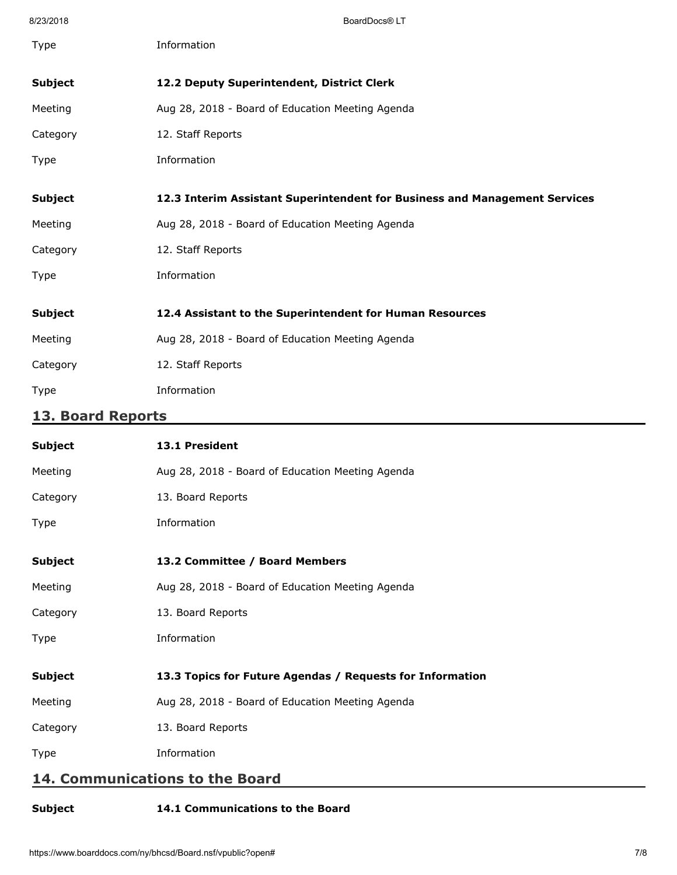| 8/23/2018         | BoardDocs® LT                                                              |  |
|-------------------|----------------------------------------------------------------------------|--|
| Type              | Information                                                                |  |
|                   |                                                                            |  |
| <b>Subject</b>    | 12.2 Deputy Superintendent, District Clerk                                 |  |
| Meeting           | Aug 28, 2018 - Board of Education Meeting Agenda                           |  |
| Category          | 12. Staff Reports                                                          |  |
| Type              | Information                                                                |  |
| <b>Subject</b>    | 12.3 Interim Assistant Superintendent for Business and Management Services |  |
| Meeting           | Aug 28, 2018 - Board of Education Meeting Agenda                           |  |
| Category          | 12. Staff Reports                                                          |  |
| <b>Type</b>       | Information                                                                |  |
| <b>Subject</b>    | 12.4 Assistant to the Superintendent for Human Resources                   |  |
| Meeting           | Aug 28, 2018 - Board of Education Meeting Agenda                           |  |
| Category          | 12. Staff Reports                                                          |  |
| <b>Type</b>       | Information                                                                |  |
| 13. Board Reports |                                                                            |  |
| <b>Subject</b>    | 13.1 President                                                             |  |
| Meeting           | Aug 28, 2018 - Board of Education Meeting Agenda                           |  |
| Category          | 13. Board Reports                                                          |  |
| Type              | Information                                                                |  |
| <b>Subject</b>    | 13.2 Committee / Board Members                                             |  |
| Meeting           | Aug 28, 2018 - Board of Education Meeting Agenda                           |  |
| Category          | 13. Board Reports                                                          |  |
| Type              | Information                                                                |  |
| <b>Subject</b>    | 13.3 Topics for Future Agendas / Requests for Information                  |  |
| Meeting           | Aug 28, 2018 - Board of Education Meeting Agenda                           |  |

Category 13. Board Reports

Type Information

# **14. Communications to the Board**

# **Subject 14.1 Communications to the Board**